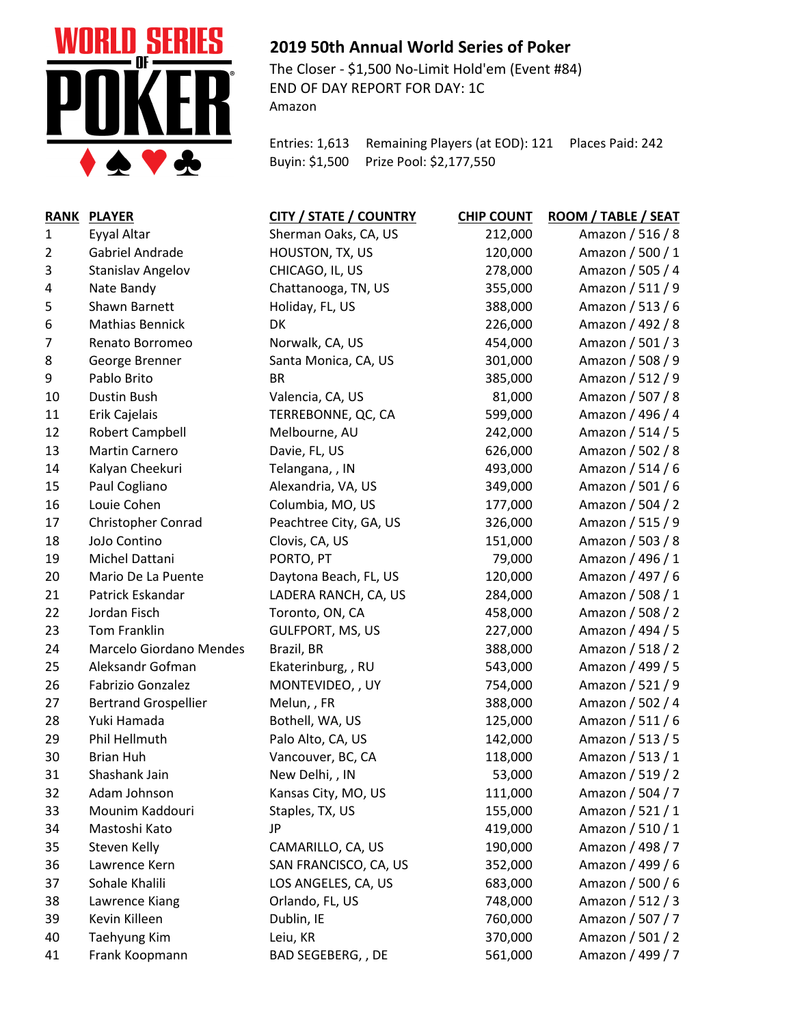

## **2019 50th Annual World Series of Poker**

The Closer - \$1,500 No-Limit Hold'em (Event #84) END OF DAY REPORT FOR DAY: 1C Amazon

Entries: 1,613 Remaining Players (at EOD): 121 Places Paid: 242 Buyin: \$1,500 Prize Pool: \$2,177,550

| <b>RANK</b> | <b>PLAYER</b>               | <b>CITY / STATE / COUNTRY</b> | <b>CHIP COUNT</b> | ROOM / TABLE / SEAT |
|-------------|-----------------------------|-------------------------------|-------------------|---------------------|
| 1           | Eyyal Altar                 | Sherman Oaks, CA, US          | 212,000           | Amazon / 516 / 8    |
| 2           | Gabriel Andrade             | HOUSTON, TX, US               | 120,000           | Amazon / 500 / 1    |
| 3           | Stanislav Angelov           | CHICAGO, IL, US               | 278,000           | Amazon / 505 / 4    |
| 4           | Nate Bandy                  | Chattanooga, TN, US           | 355,000           | Amazon / 511 / 9    |
| 5           | Shawn Barnett               | Holiday, FL, US               | 388,000           | Amazon / 513 / 6    |
| 6           | <b>Mathias Bennick</b>      | DK                            | 226,000           | Amazon / 492 / 8    |
| 7           | Renato Borromeo             | Norwalk, CA, US               | 454,000           | Amazon / 501 / 3    |
| 8           | George Brenner              | Santa Monica, CA, US          | 301,000           | Amazon / 508 / 9    |
| 9           | Pablo Brito                 | <b>BR</b>                     | 385,000           | Amazon / 512 / 9    |
| 10          | Dustin Bush                 | Valencia, CA, US              | 81,000            | Amazon / 507 / 8    |
| 11          | Erik Cajelais               | TERREBONNE, QC, CA            | 599,000           | Amazon / 496 / 4    |
| 12          | <b>Robert Campbell</b>      | Melbourne, AU                 | 242,000           | Amazon / 514 / 5    |
| 13          | <b>Martin Carnero</b>       | Davie, FL, US                 | 626,000           | Amazon / 502 / 8    |
| 14          | Kalyan Cheekuri             | Telangana, , IN               | 493,000           | Amazon / 514 / 6    |
| 15          | Paul Cogliano               | Alexandria, VA, US            | 349,000           | Amazon / 501 / 6    |
| 16          | Louie Cohen                 | Columbia, MO, US              | 177,000           | Amazon / 504 / 2    |
| 17          | <b>Christopher Conrad</b>   | Peachtree City, GA, US        | 326,000           | Amazon / 515 / 9    |
| 18          | JoJo Contino                | Clovis, CA, US                | 151,000           | Amazon / 503 / 8    |
| 19          | Michel Dattani              | PORTO, PT                     | 79,000            | Amazon / 496 / 1    |
| 20          | Mario De La Puente          | Daytona Beach, FL, US         | 120,000           | Amazon / 497 / 6    |
| 21          | Patrick Eskandar            | LADERA RANCH, CA, US          | 284,000           | Amazon / 508 / 1    |
| 22          | Jordan Fisch                | Toronto, ON, CA               | 458,000           | Amazon / 508 / 2    |
| 23          | Tom Franklin                | <b>GULFPORT, MS, US</b>       | 227,000           | Amazon / 494 / 5    |
| 24          | Marcelo Giordano Mendes     | Brazil, BR                    | 388,000           | Amazon / 518 / 2    |
| 25          | Aleksandr Gofman            | Ekaterinburg, , RU            | 543,000           | Amazon / 499 / 5    |
| 26          | Fabrizio Gonzalez           | MONTEVIDEO, , UY              | 754,000           | Amazon / 521 / 9    |
| 27          | <b>Bertrand Grospellier</b> | Melun,, FR                    | 388,000           | Amazon / 502 / 4    |
| 28          | Yuki Hamada                 | Bothell, WA, US               | 125,000           | Amazon / 511 / 6    |
| 29          | Phil Hellmuth               | Palo Alto, CA, US             | 142,000           | Amazon / 513 / 5    |
| 30          | <b>Brian Huh</b>            | Vancouver, BC, CA             | 118,000           | Amazon / 513 / 1    |
| 31          | Shashank Jain               | New Delhi, , IN               | 53,000            | Amazon / 519 / 2    |
| 32          | Adam Johnson                | Kansas City, MO, US           | 111,000           | Amazon / 504 / 7    |
| 33          | Mounim Kaddouri             | Staples, TX, US               | 155,000           | Amazon / 521 / 1    |
| 34          | Mastoshi Kato               | JP                            | 419,000           | Amazon / 510 / 1    |
| 35          | Steven Kelly                | CAMARILLO, CA, US             | 190,000           | Amazon / 498 / 7    |
| 36          | Lawrence Kern               | SAN FRANCISCO, CA, US         | 352,000           | Amazon / 499 / 6    |
| 37          | Sohale Khalili              | LOS ANGELES, CA, US           | 683,000           | Amazon / 500 / 6    |
| 38          | Lawrence Kiang              | Orlando, FL, US               | 748,000           | Amazon / 512 / 3    |
| 39          | Kevin Killeen               | Dublin, IE                    | 760,000           | Amazon / 507 / 7    |
| 40          | Taehyung Kim                | Leiu, KR                      | 370,000           | Amazon / 501 / 2    |
| 41          | Frank Koopmann              | BAD SEGEBERG, , DE            | 561,000           | Amazon / 499 / 7    |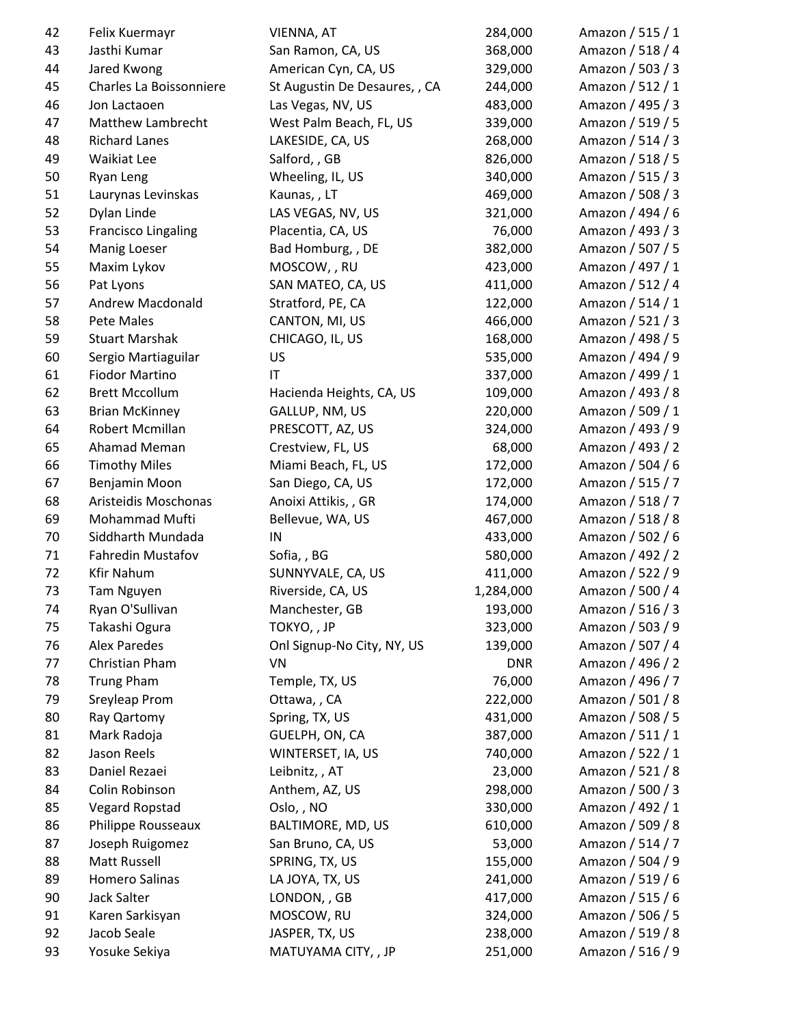| 42       | Felix Kuermayr                 | VIENNA, AT                    | 284,000    | Amazon / 515 / 1 |
|----------|--------------------------------|-------------------------------|------------|------------------|
| 43       | Jasthi Kumar                   | San Ramon, CA, US             | 368,000    | Amazon / 518 / 4 |
| 44       | Jared Kwong                    | American Cyn, CA, US          | 329,000    | Amazon / 503 / 3 |
| 45       | Charles La Boissonniere        | St Augustin De Desaures, , CA | 244,000    | Amazon / 512 / 1 |
| 46       | Jon Lactaoen                   | Las Vegas, NV, US             | 483,000    | Amazon / 495 / 3 |
| 47       | Matthew Lambrecht              | West Palm Beach, FL, US       | 339,000    | Amazon / 519 / 5 |
| 48       | <b>Richard Lanes</b>           | LAKESIDE, CA, US              | 268,000    | Amazon / 514 / 3 |
| 49       | Waikiat Lee                    | Salford, , GB                 | 826,000    | Amazon / 518 / 5 |
| 50       | Ryan Leng                      | Wheeling, IL, US              | 340,000    | Amazon / 515 / 3 |
| 51       | Laurynas Levinskas             | Kaunas,, LT                   | 469,000    | Amazon / 508 / 3 |
| 52       | Dylan Linde                    | LAS VEGAS, NV, US             | 321,000    | Amazon / 494 / 6 |
| 53       | <b>Francisco Lingaling</b>     | Placentia, CA, US             | 76,000     | Amazon / 493 / 3 |
| 54       | Manig Loeser                   | Bad Homburg, , DE             | 382,000    | Amazon / 507 / 5 |
| 55       | Maxim Lykov                    | MOSCOW, , RU                  | 423,000    | Amazon / 497 / 1 |
| 56       | Pat Lyons                      | SAN MATEO, CA, US             | 411,000    | Amazon / 512 / 4 |
| 57       | Andrew Macdonald               | Stratford, PE, CA             | 122,000    | Amazon / 514 / 1 |
| 58       | Pete Males                     | CANTON, MI, US                | 466,000    | Amazon / 521 / 3 |
| 59       | <b>Stuart Marshak</b>          | CHICAGO, IL, US               | 168,000    | Amazon / 498 / 5 |
| 60       | Sergio Martiaguilar            | US                            | 535,000    | Amazon / 494 / 9 |
| 61       | <b>Fiodor Martino</b>          | IT                            | 337,000    | Amazon / 499 / 1 |
| 62       | <b>Brett Mccollum</b>          | Hacienda Heights, CA, US      | 109,000    | Amazon / 493 / 8 |
| 63       | <b>Brian McKinney</b>          | GALLUP, NM, US                | 220,000    | Amazon / 509 / 1 |
| 64       | Robert Mcmillan                | PRESCOTT, AZ, US              | 324,000    | Amazon / 493 / 9 |
| 65       | Ahamad Meman                   | Crestview, FL, US             | 68,000     | Amazon / 493 / 2 |
| 66       | <b>Timothy Miles</b>           | Miami Beach, FL, US           | 172,000    | Amazon / 504 / 6 |
| 67       | Benjamin Moon                  | San Diego, CA, US             | 172,000    | Amazon / 515 / 7 |
| 68       | Aristeidis Moschonas           | Anoixi Attikis, , GR          | 174,000    | Amazon / 518 / 7 |
| 69       | Mohammad Mufti                 | Bellevue, WA, US              | 467,000    | Amazon / 518 / 8 |
| 70       | Siddharth Mundada              | IN                            | 433,000    | Amazon / 502 / 6 |
| 71       | Fahredin Mustafov              | Sofia, BG                     | 580,000    | Amazon / 492 / 2 |
| 72       | <b>Kfir Nahum</b>              | SUNNYVALE, CA, US             | 411,000    | Amazon / 522 / 9 |
| 73       | Tam Nguyen                     | Riverside, CA, US             | 1,284,000  | Amazon / 500 / 4 |
| 74       | Ryan O'Sullivan                | Manchester, GB                | 193,000    | Amazon / 516 / 3 |
| 75       | Takashi Ogura                  | TOKYO, , JP                   | 323,000    | Amazon / 503 / 9 |
| 76       | <b>Alex Paredes</b>            | Onl Signup-No City, NY, US    | 139,000    | Amazon / 507 / 4 |
| 77       | Christian Pham                 | VN                            | <b>DNR</b> | Amazon / 496 / 2 |
| 78       | <b>Trung Pham</b>              | Temple, TX, US                | 76,000     | Amazon / 496 / 7 |
| 79       | Sreyleap Prom                  | Ottawa, , CA                  | 222,000    | Amazon / 501 / 8 |
| 80       | Ray Qartomy                    | Spring, TX, US                | 431,000    | Amazon / 508 / 5 |
| 81       | Mark Radoja                    | GUELPH, ON, CA                | 387,000    | Amazon / 511 / 1 |
| 82       | Jason Reels                    | WINTERSET, IA, US             | 740,000    | Amazon / 522 / 1 |
| 83       | Daniel Rezaei                  | Leibnitz, , AT                | 23,000     | Amazon / 521 / 8 |
| 84       | Colin Robinson                 | Anthem, AZ, US                | 298,000    | Amazon / 500 / 3 |
| 85       | Vegard Ropstad                 | Oslo,, NO                     | 330,000    | Amazon / 492 / 1 |
| 86       | Philippe Rousseaux             | BALTIMORE, MD, US             | 610,000    | Amazon / 509 / 8 |
| 87       | Joseph Ruigomez                |                               | 53,000     | Amazon / 514 / 7 |
|          |                                | San Bruno, CA, US             |            |                  |
| 88       | Matt Russell                   | SPRING, TX, US                | 155,000    | Amazon / 504 / 9 |
| 89       | <b>Homero Salinas</b>          | LA JOYA, TX, US               | 241,000    | Amazon / 519 / 6 |
| 90       | Jack Salter                    | LONDON, , GB                  | 417,000    | Amazon / 515 / 6 |
| 91<br>92 | Karen Sarkisyan<br>Jacob Seale | MOSCOW, RU                    | 324,000    | Amazon / 506 / 5 |
|          |                                | JASPER, TX, US                | 238,000    | Amazon / 519 / 8 |
| 93       | Yosuke Sekiya                  | MATUYAMA CITY, , JP           | 251,000    | Amazon / 516 / 9 |